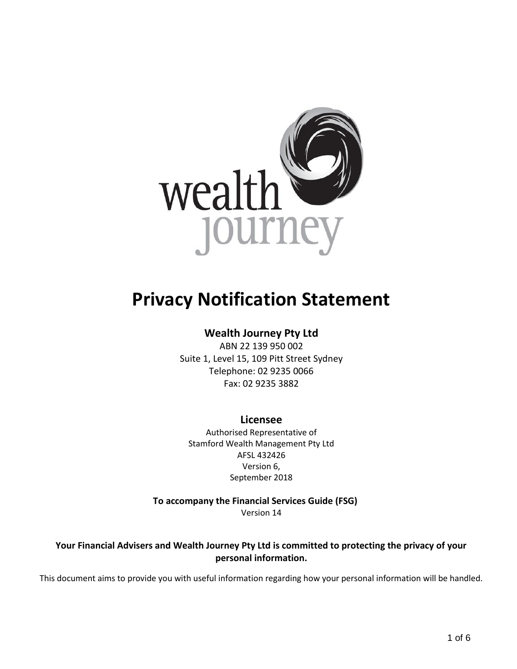

# **Privacy Notification Statement**

# **Wealth Journey Pty Ltd**

ABN 22 139 950 002 Suite 1, Level 15, 109 Pitt Street Sydney Telephone: 02 9235 0066 Fax: 02 9235 3882

# **Licensee**

Authorised Representative of Stamford Wealth Management Pty Ltd AFSL 432426 Version 6, September 2018

 **To accompany the Financial Services Guide (FSG)** Version 14

**Your Financial Advisers and Wealth Journey Pty Ltd is committed to protecting the privacy of your personal information.**

This document aims to provide you with useful information regarding how your personal information will be handled.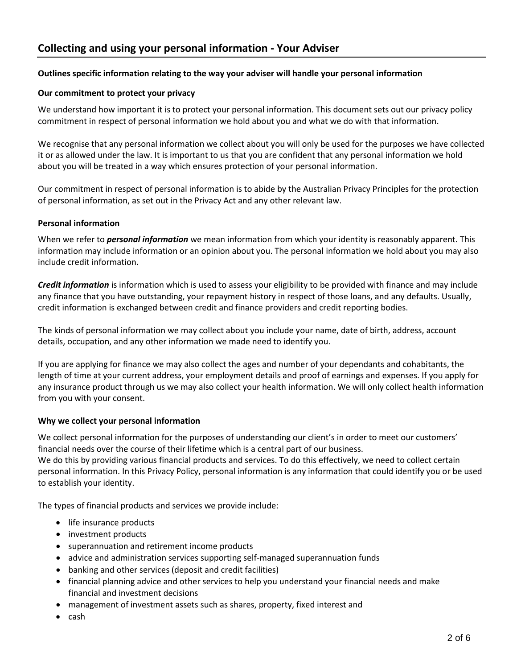## **Outlines specific information relating to the way your adviser will handle your personal information**

#### **Our commitment to protect your privacy**

We understand how important it is to protect your personal information. This document sets out our privacy policy commitment in respect of personal information we hold about you and what we do with that information.

We recognise that any personal information we collect about you will only be used for the purposes we have collected it or as allowed under the law. It is important to us that you are confident that any personal information we hold about you will be treated in a way which ensures protection of your personal information.

Our commitment in respect of personal information is to abide by the Australian Privacy Principles for the protection of personal information, as set out in the Privacy Act and any other relevant law.

#### **Personal information**

When we refer to *personal information* we mean information from which your identity is reasonably apparent. This information may include information or an opinion about you. The personal information we hold about you may also include credit information.

*Credit information* is information which is used to assess your eligibility to be provided with finance and may include any finance that you have outstanding, your repayment history in respect of those loans, and any defaults. Usually, credit information is exchanged between credit and finance providers and credit reporting bodies.

The kinds of personal information we may collect about you include your name, date of birth, address, account details, occupation, and any other information we made need to identify you.

If you are applying for finance we may also collect the ages and number of your dependants and cohabitants, the length of time at your current address, your employment details and proof of earnings and expenses. If you apply for any insurance product through us we may also collect your health information. We will only collect health information from you with your consent.

#### **Why we collect your personal information**

We collect personal information for the purposes of understanding our client's in order to meet our customers' financial needs over the course of their lifetime which is a central part of our business.

We do this by providing various financial products and services. To do this effectively, we need to collect certain personal information. In this Privacy Policy, personal information is any information that could identify you or be used to establish your identity.

The types of financial products and services we provide include:

- life insurance products
- investment products
- superannuation and retirement income products
- advice and administration services supporting self-managed superannuation funds
- banking and other services (deposit and credit facilities)
- financial planning advice and other services to help you understand your financial needs and make financial and investment decisions
- management of investment assets such as shares, property, fixed interest and
- cash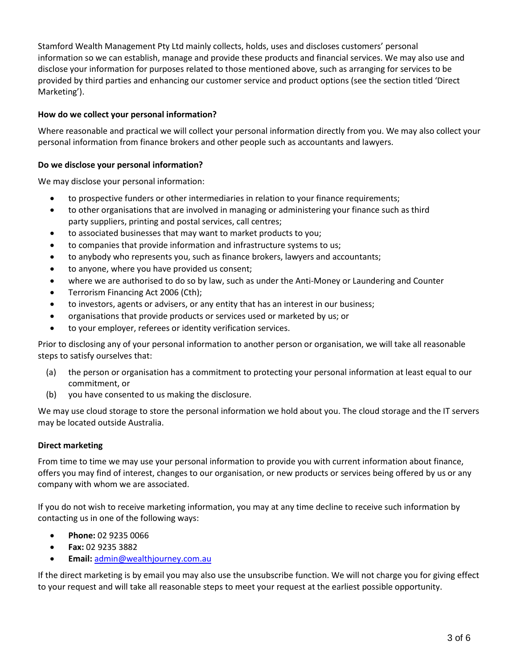Stamford Wealth Management Pty Ltd mainly collects, holds, uses and discloses customers' personal information so we can establish, manage and provide these products and financial services. We may also use and disclose your information for purposes related to those mentioned above, such as arranging for services to be provided by third parties and enhancing our customer service and product options (see the section titled 'Direct Marketing').

# **How do we collect your personal information?**

Where reasonable and practical we will collect your personal information directly from you. We may also collect your personal information from finance brokers and other people such as accountants and lawyers.

#### **Do we disclose your personal information?**

We may disclose your personal information:

- to prospective funders or other intermediaries in relation to your finance requirements;
- to other organisations that are involved in managing or administering your finance such as third party suppliers, printing and postal services, call centres;
- to associated businesses that may want to market products to you;
- to companies that provide information and infrastructure systems to us;
- to anybody who represents you, such as finance brokers, lawyers and accountants;
- to anyone, where you have provided us consent;
- where we are authorised to do so by law, such as under the Anti-Money or Laundering and Counter
- Terrorism Financing Act 2006 (Cth);
- to investors, agents or advisers, or any entity that has an interest in our business;
- organisations that provide products or services used or marketed by us; or
- to your employer, referees or identity verification services.

Prior to disclosing any of your personal information to another person or organisation, we will take all reasonable steps to satisfy ourselves that:

- (a) the person or organisation has a commitment to protecting your personal information at least equal to our commitment, or
- (b) you have consented to us making the disclosure.

We may use cloud storage to store the personal information we hold about you. The cloud storage and the IT servers may be located outside Australia.

#### **Direct marketing**

From time to time we may use your personal information to provide you with current information about finance, offers you may find of interest, changes to our organisation, or new products or services being offered by us or any company with whom we are associated.

If you do not wish to receive marketing information, you may at any time decline to receive such information by contacting us in one of the following ways:

- **Phone:** 02 9235 0066
- **Fax:** 02 9235 3882
- **Email:** [admin@wealthjourney.com.au](mailto:admin@wealthjourney.com.au)

If the direct marketing is by email you may also use the unsubscribe function. We will not charge you for giving effect to your request and will take all reasonable steps to meet your request at the earliest possible opportunity.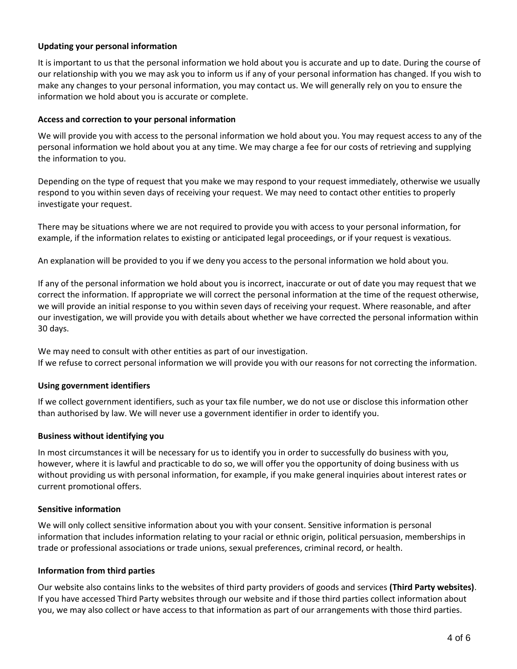## **Updating your personal information**

It is important to us that the personal information we hold about you is accurate and up to date. During the course of our relationship with you we may ask you to inform us if any of your personal information has changed. If you wish to make any changes to your personal information, you may contact us. We will generally rely on you to ensure the information we hold about you is accurate or complete.

#### **Access and correction to your personal information**

We will provide you with access to the personal information we hold about you. You may request access to any of the personal information we hold about you at any time. We may charge a fee for our costs of retrieving and supplying the information to you.

Depending on the type of request that you make we may respond to your request immediately, otherwise we usually respond to you within seven days of receiving your request. We may need to contact other entities to properly investigate your request.

There may be situations where we are not required to provide you with access to your personal information, for example, if the information relates to existing or anticipated legal proceedings, or if your request is vexatious.

An explanation will be provided to you if we deny you access to the personal information we hold about you.

If any of the personal information we hold about you is incorrect, inaccurate or out of date you may request that we correct the information. If appropriate we will correct the personal information at the time of the request otherwise, we will provide an initial response to you within seven days of receiving your request. Where reasonable, and after our investigation, we will provide you with details about whether we have corrected the personal information within 30 days.

We may need to consult with other entities as part of our investigation. If we refuse to correct personal information we will provide you with our reasons for not correcting the information.

#### **Using government identifiers**

If we collect government identifiers, such as your tax file number, we do not use or disclose this information other than authorised by law. We will never use a government identifier in order to identify you.

#### **Business without identifying you**

In most circumstances it will be necessary for us to identify you in order to successfully do business with you, however, where it is lawful and practicable to do so, we will offer you the opportunity of doing business with us without providing us with personal information, for example, if you make general inquiries about interest rates or current promotional offers.

#### **Sensitive information**

We will only collect sensitive information about you with your consent. Sensitive information is personal information that includes information relating to your racial or ethnic origin, political persuasion, memberships in trade or professional associations or trade unions, sexual preferences, criminal record, or health.

#### **Information from third parties**

Our website also contains links to the websites of third party providers of goods and services **(Third Party websites)**. If you have accessed Third Party websites through our website and if those third parties collect information about you, we may also collect or have access to that information as part of our arrangements with those third parties.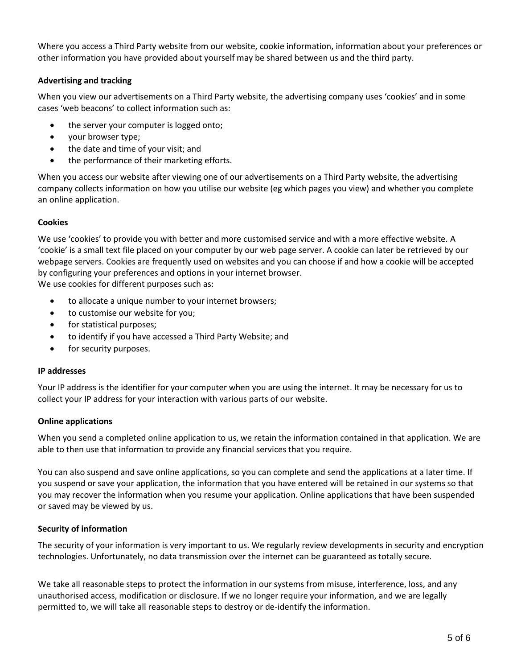Where you access a Third Party website from our website, cookie information, information about your preferences or other information you have provided about yourself may be shared between us and the third party.

# **Advertising and tracking**

When you view our advertisements on a Third Party website, the advertising company uses 'cookies' and in some cases 'web beacons' to collect information such as:

- the server your computer is logged onto;
- your browser type;
- the date and time of your visit; and
- the performance of their marketing efforts.

When you access our website after viewing one of our advertisements on a Third Party website, the advertising company collects information on how you utilise our website (eg which pages you view) and whether you complete an online application.

#### **Cookies**

We use 'cookies' to provide you with better and more customised service and with a more effective website. A 'cookie' is a small text file placed on your computer by our web page server. A cookie can later be retrieved by our webpage servers. Cookies are frequently used on websites and you can choose if and how a cookie will be accepted by configuring your preferences and options in your internet browser.

We use cookies for different purposes such as:

- to allocate a unique number to your internet browsers;
- to customise our website for you;
- for statistical purposes;
- to identify if you have accessed a Third Party Website; and
- for security purposes.

#### **IP addresses**

Your IP address is the identifier for your computer when you are using the internet. It may be necessary for us to collect your IP address for your interaction with various parts of our website.

#### **Online applications**

When you send a completed online application to us, we retain the information contained in that application. We are able to then use that information to provide any financial services that you require.

You can also suspend and save online applications, so you can complete and send the applications at a later time. If you suspend or save your application, the information that you have entered will be retained in our systems so that you may recover the information when you resume your application. Online applications that have been suspended or saved may be viewed by us.

#### **Security of information**

The security of your information is very important to us. We regularly review developments in security and encryption technologies. Unfortunately, no data transmission over the internet can be guaranteed as totally secure.

We take all reasonable steps to protect the information in our systems from misuse, interference, loss, and any unauthorised access, modification or disclosure. If we no longer require your information, and we are legally permitted to, we will take all reasonable steps to destroy or de-identify the information.